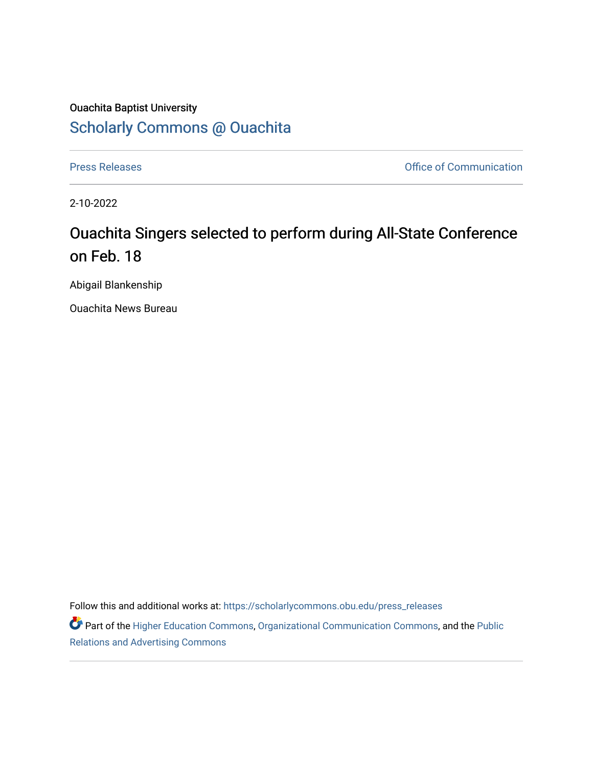## Ouachita Baptist University [Scholarly Commons @ Ouachita](https://scholarlycommons.obu.edu/)

[Press Releases](https://scholarlycommons.obu.edu/press_releases) **Press Releases Communication Press Releases Office of Communication** 

2-10-2022

## Ouachita Singers selected to perform during All-State Conference on Feb. 18

Abigail Blankenship

Ouachita News Bureau

Follow this and additional works at: [https://scholarlycommons.obu.edu/press\\_releases](https://scholarlycommons.obu.edu/press_releases?utm_source=scholarlycommons.obu.edu%2Fpress_releases%2F1049&utm_medium=PDF&utm_campaign=PDFCoverPages)

Part of the [Higher Education Commons,](http://network.bepress.com/hgg/discipline/1245?utm_source=scholarlycommons.obu.edu%2Fpress_releases%2F1049&utm_medium=PDF&utm_campaign=PDFCoverPages) [Organizational Communication Commons,](http://network.bepress.com/hgg/discipline/335?utm_source=scholarlycommons.obu.edu%2Fpress_releases%2F1049&utm_medium=PDF&utm_campaign=PDFCoverPages) and the [Public](http://network.bepress.com/hgg/discipline/336?utm_source=scholarlycommons.obu.edu%2Fpress_releases%2F1049&utm_medium=PDF&utm_campaign=PDFCoverPages) [Relations and Advertising Commons](http://network.bepress.com/hgg/discipline/336?utm_source=scholarlycommons.obu.edu%2Fpress_releases%2F1049&utm_medium=PDF&utm_campaign=PDFCoverPages)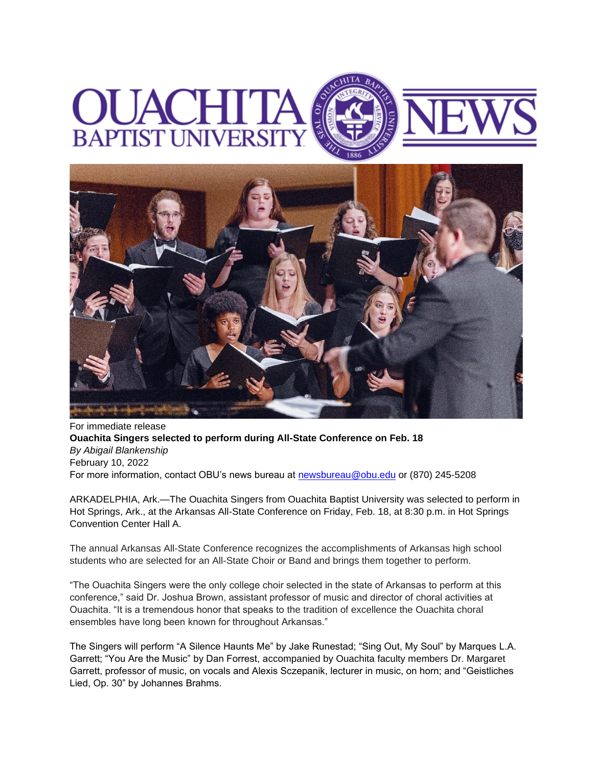## **BAPTIST UNIVERS**



For immediate release **Ouachita Singers selected to perform during All-State Conference on Feb. 18** *By Abigail Blankenship* February 10, 2022 For more information, contact OBU's news bureau at [newsbureau@obu.edu](mailto:newsbureau@obu.edu) or (870) 245-5208

ARKADELPHIA, Ark.—The Ouachita Singers from Ouachita Baptist University was selected to perform in Hot Springs, Ark., at the Arkansas All-State Conference on Friday, Feb. 18, at 8:30 p.m. in Hot Springs Convention Center Hall A.

The annual Arkansas All-State Conference recognizes the accomplishments of Arkansas high school students who are selected for an All-State Choir or Band and brings them together to perform.

"The Ouachita Singers were the only college choir selected in the state of Arkansas to perform at this conference," said Dr. Joshua Brown, assistant professor of music and director of choral activities at Ouachita. "It is a tremendous honor that speaks to the tradition of excellence the Ouachita choral ensembles have long been known for throughout Arkansas."

The Singers will perform "A Silence Haunts Me" by Jake Runestad; "Sing Out, My Soul" by Marques L.A. Garrett; "You Are the Music" by Dan Forrest, accompanied by Ouachita faculty members Dr. Margaret Garrett, professor of music, on vocals and Alexis Sczepanik, lecturer in music, on horn; and "Geistliches Lied, Op. 30" by Johannes Brahms.